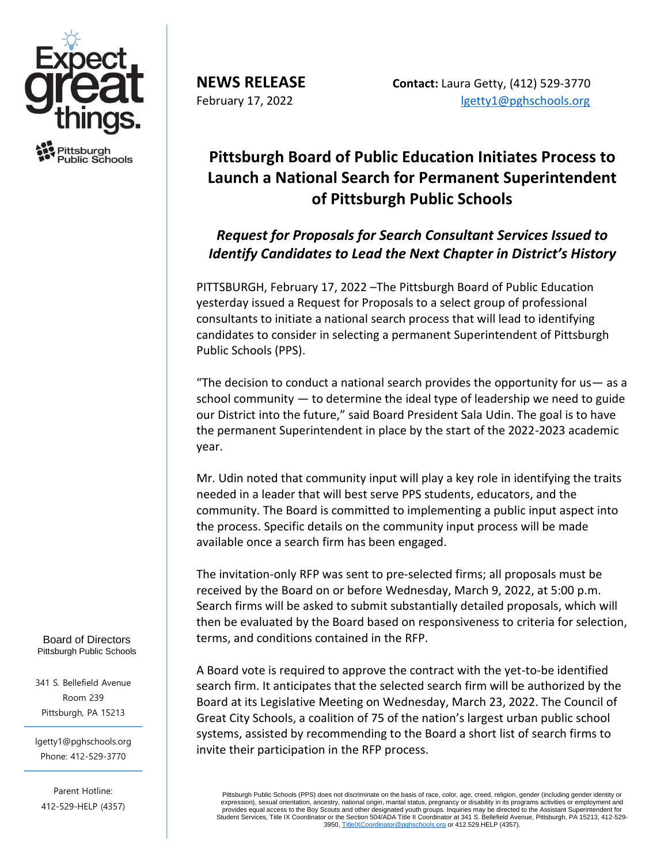

Pittsburah ublic Schools

**NEWS RELEASE Contact:** Laura Getty, (412) 529-3770 February 17, 2022 and the state of the [lgetty1@pghschools.org](mailto:lgetty1@pghschools.org)

## **Pittsburgh Board of Public Education Initiates Process to Launch a National Search for Permanent Superintendent of Pittsburgh Public Schools**

## *Request for Proposals for Search Consultant Services Issued to Identify Candidates to Lead the Next Chapter in District's History*

PITTSBURGH, February 17, 2022 –The Pittsburgh Board of Public Education yesterday issued a Request for Proposals to a select group of professional consultants to initiate a national search process that will lead to identifying candidates to consider in selecting a permanent Superintendent of Pittsburgh Public Schools (PPS).

"The decision to conduct a national search provides the opportunity for us— as a school community  $-$  to determine the ideal type of leadership we need to guide our District into the future," said Board President Sala Udin. The goal is to have the permanent Superintendent in place by the start of the 2022-2023 academic year.

Mr. Udin noted that community input will play a key role in identifying the traits needed in a leader that will best serve PPS students, educators, and the community. The Board is committed to implementing a public input aspect into the process. Specific details on the community input process will be made available once a search firm has been engaged.

The invitation-only RFP was sent to pre-selected firms; all proposals must be received by the Board on or before Wednesday, March 9, 2022, at 5:00 p.m. Search firms will be asked to submit substantially detailed proposals, which will then be evaluated by the Board based on responsiveness to criteria for selection, terms, and conditions contained in the RFP.

A Board vote is required to approve the contract with the yet-to-be identified search firm. It anticipates that the selected search firm will be authorized by the Board at its Legislative Meeting on Wednesday, March 23, 2022. The Council of Great City Schools, a coalition of 75 of the nation's largest urban public school systems, assisted by recommending to the Board a short list of search firms to invite their participation in the RFP process.

Pittsburgh Public Schools (PPS) does not discriminate on the basis of race, color, age, creed, religion, gender (including gender identity or expression), sexual orientation, ancestry, national origin, marital status, pregnancy or disability in its programs activities or employment and<br>provides equal access to the Boy Scouts and other designated youth groups. In Student Services, Title IX Coordinator or the Section 504/ADA Title II Coordinator at 341 S. Bellefield Avenue, Pittsburgh, PA 15213, 412-529- 3950[, TitleIXCoordinator@pghschools.org](mailto:TitleIXCoordinator@pghschools.org) or 412.529.HELP (4357).

Board of Directors Pittsburgh Public Schools

341 S. Bellefield Avenue Room 239 Pittsburgh, PA 15213

lgetty1@pghschools.org Phone: 412-529-3770

Fax: 412-622-8544

Parent Hotline: 412-529-HELP (4357)